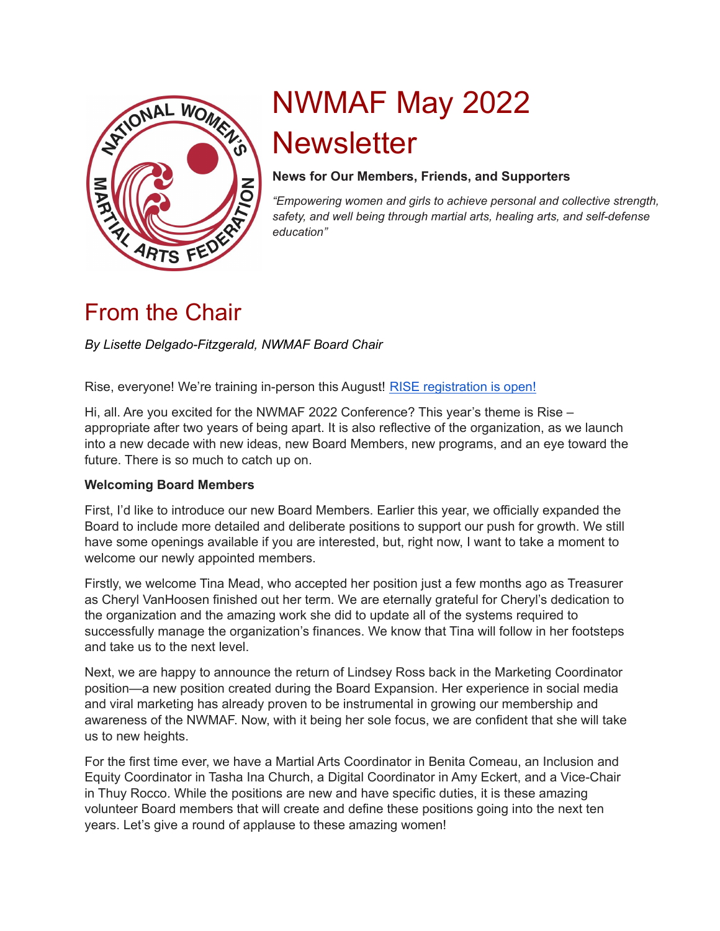

# NWMAF May 2022 **Newsletter**

#### **News for Our Members, Friends, and Supporters**

*"Empowering women and girls to achieve personal and collective strength, safety, and well being through martial arts, healing arts, and self-defense education"*

### From the Chair

#### *By Lisette Delgado-Fitzgerald, NWMAF Board Chair*

Rise, everyone! We're training in-person this August! RISE [registration](https://www.nwmaf-conference.org/rise-registration/) is open!

Hi, all. Are you excited for the NWMAF 2022 Conference? This year's theme is Rise – appropriate after two years of being apart. It is also reflective of the organization, as we launch into a new decade with new ideas, new Board Members, new programs, and an eye toward the future. There is so much to catch up on.

#### **Welcoming Board Members**

First, I'd like to introduce our new Board Members. Earlier this year, we officially expanded the Board to include more detailed and deliberate positions to support our push for growth. We still have some openings available if you are interested, but, right now, I want to take a moment to welcome our newly appointed members.

Firstly, we welcome Tina Mead, who accepted her position just a few months ago as Treasurer as Cheryl VanHoosen finished out her term. We are eternally grateful for Cheryl's dedication to the organization and the amazing work she did to update all of the systems required to successfully manage the organization's finances. We know that Tina will follow in her footsteps and take us to the next level.

Next, we are happy to announce the return of Lindsey Ross back in the Marketing Coordinator position—a new position created during the Board Expansion. Her experience in social media and viral marketing has already proven to be instrumental in growing our membership and awareness of the NWMAF. Now, with it being her sole focus, we are confident that she will take us to new heights.

For the first time ever, we have a Martial Arts Coordinator in Benita Comeau, an Inclusion and Equity Coordinator in Tasha Ina Church, a Digital Coordinator in Amy Eckert, and a Vice-Chair in Thuy Rocco. While the positions are new and have specific duties, it is these amazing volunteer Board members that will create and define these positions going into the next ten years. Let's give a round of applause to these amazing women!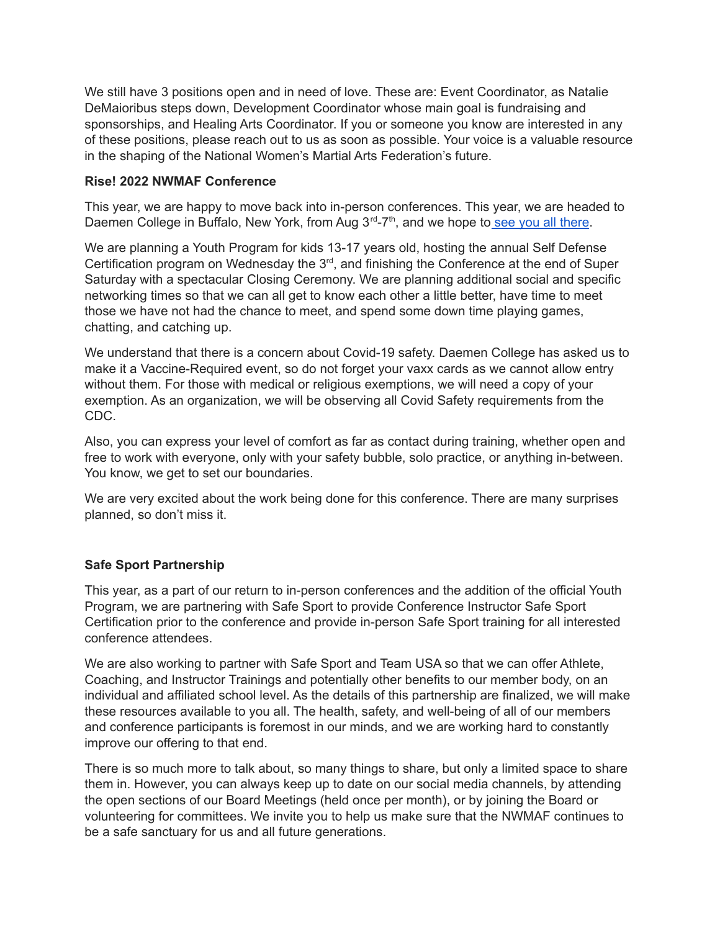We still have 3 positions open and in need of love. These are: Event Coordinator, as Natalie DeMaioribus steps down, Development Coordinator whose main goal is fundraising and sponsorships, and Healing Arts Coordinator. If you or someone you know are interested in any of these positions, please reach out to us as soon as possible. Your voice is a valuable resource in the shaping of the National Women's Martial Arts Federation's future.

#### **Rise! 2022 NWMAF Conference**

This year, we are happy to move back into in-person conferences. This year, we are headed to Daemen College in Buffalo, New York, from Aug 3<sup>rd</sup>-7<sup>th</sup>, and we hope to see you all [there](https://www.nwmaf-conference.org/event/rise-conference/).

We are planning a Youth Program for kids 13-17 years old, hosting the annual Self Defense Certification program on Wednesday the  $3<sup>rd</sup>$ , and finishing the Conference at the end of Super Saturday with a spectacular Closing Ceremony. We are planning additional social and specific networking times so that we can all get to know each other a little better, have time to meet those we have not had the chance to meet, and spend some down time playing games, chatting, and catching up.

We understand that there is a concern about Covid-19 safety. Daemen College has asked us to make it a Vaccine-Required event, so do not forget your vaxx cards as we cannot allow entry without them. For those with medical or religious exemptions, we will need a copy of your exemption. As an organization, we will be observing all Covid Safety requirements from the CDC.

Also, you can express your level of comfort as far as contact during training, whether open and free to work with everyone, only with your safety bubble, solo practice, or anything in-between. You know, we get to set our boundaries.

We are very excited about the work being done for this conference. There are many surprises planned, so don't miss it.

#### **Safe Sport Partnership**

This year, as a part of our return to in-person conferences and the addition of the official Youth Program, we are partnering with Safe Sport to provide Conference Instructor Safe Sport Certification prior to the conference and provide in-person Safe Sport training for all interested conference attendees.

We are also working to partner with Safe Sport and Team USA so that we can offer Athlete, Coaching, and Instructor Trainings and potentially other benefits to our member body, on an individual and affiliated school level. As the details of this partnership are finalized, we will make these resources available to you all. The health, safety, and well-being of all of our members and conference participants is foremost in our minds, and we are working hard to constantly improve our offering to that end.

There is so much more to talk about, so many things to share, but only a limited space to share them in. However, you can always keep up to date on our social media channels, by attending the open sections of our Board Meetings (held once per month), or by joining the Board or volunteering for committees. We invite you to help us make sure that the NWMAF continues to be a safe sanctuary for us and all future generations.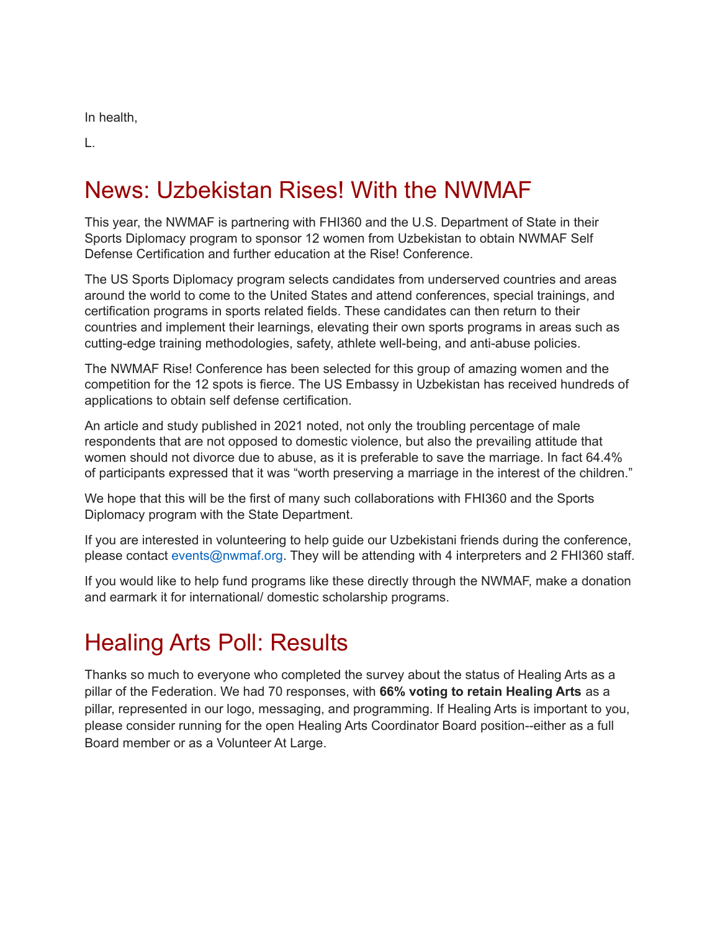In health,

L.

# News: Uzbekistan Rises! With the NWMAF

This year, the NWMAF is partnering with FHI360 and the U.S. Department of State in their Sports Diplomacy program to sponsor 12 women from Uzbekistan to obtain NWMAF Self Defense Certification and further education at the Rise! Conference.

The US Sports Diplomacy program selects candidates from underserved countries and areas around the world to come to the United States and attend conferences, special trainings, and certification programs in sports related fields. These candidates can then return to their countries and implement their learnings, elevating their own sports programs in areas such as cutting-edge training methodologies, safety, athlete well-being, and anti-abuse policies.

The NWMAF Rise! Conference has been selected for this group of amazing women and the competition for the 12 spots is fierce. The US Embassy in Uzbekistan has received hundreds of applications to obtain self defense certification.

An article and study published in 2021 noted, not only the troubling percentage of male respondents that are not opposed to domestic violence, but also the prevailing attitude that women should not divorce due to abuse, as it is preferable to save the marriage. In fact 64.4% of participants expressed that it was "worth preserving a marriage in the interest of the children."

We hope that this will be the first of many such collaborations with FHI360 and the Sports Diplomacy program with the State Department.

If you are interested in volunteering to help guide our Uzbekistani friends during the conference, please contact events@nwmaf.org. They will be attending with 4 interpreters and 2 FHI360 staff.

If you would like to help fund programs like these directly through the NWMAF, make a donation and earmark it for international/ domestic scholarship programs.

# Healing Arts Poll: Results

Thanks so much to everyone who completed the survey about the status of Healing Arts as a pillar of the Federation. We had 70 responses, with **66% voting to retain Healing Arts** as a pillar, represented in our logo, messaging, and programming. If Healing Arts is important to you, please consider running for the open Healing Arts Coordinator Board position--either as a full Board member or as a Volunteer At Large.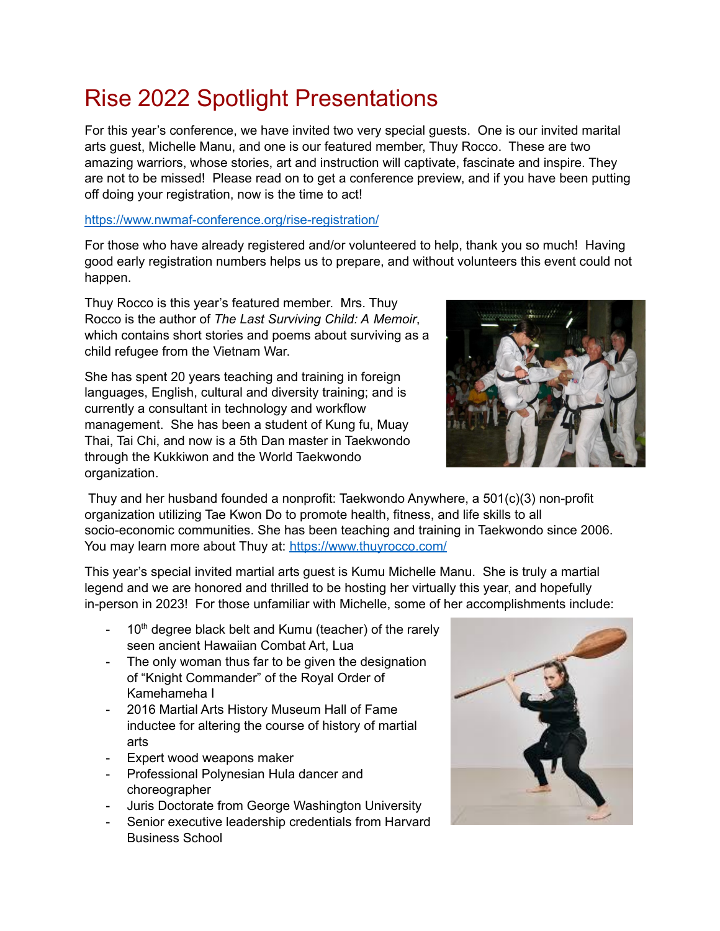# Rise 2022 Spotlight Presentations

For this year's conference, we have invited two very special guests. One is our invited marital arts guest, Michelle Manu, and one is our featured member, Thuy Rocco. These are two amazing warriors, whose stories, art and instruction will captivate, fascinate and inspire. They are not to be missed! Please read on to get a conference preview, and if you have been putting off doing your registration, now is the time to act!

#### <https://www.nwmaf-conference.org/rise-registration/>

For those who have already registered and/or volunteered to help, thank you so much! Having good early registration numbers helps us to prepare, and without volunteers this event could not happen.

Thuy Rocco is this year's featured member. Mrs. Thuy Rocco is the author of *The Last Surviving Child: A Memoir*, which contains short stories and poems about surviving as a child refugee from the Vietnam War.

She has spent 20 years teaching and training in foreign languages, English, cultural and diversity training; and is currently a consultant in technology and workflow management. She has been a student of Kung fu, Muay Thai, Tai Chi, and now is a 5th Dan master in Taekwondo through the Kukkiwon and the World Taekwondo organization.



Thuy and her husband founded a nonprofit: Taekwondo Anywhere, a 501(c)(3) non-profit organization utilizing Tae Kwon Do to promote health, fitness, and life skills to all socio-economic communities. She has been teaching and training in Taekwondo since 2006. You may learn more about Thuy at: <https://www.thuyrocco.com/>

This year's special invited martial arts guest is Kumu Michelle Manu. She is truly a martial legend and we are honored and thrilled to be hosting her virtually this year, and hopefully in-person in 2023! For those unfamiliar with Michelle, some of her accomplishments include:

- $-$  10<sup>th</sup> degree black belt and Kumu (teacher) of the rarely seen ancient Hawaiian Combat Art, Lua
- The only woman thus far to be given the designation of "Knight Commander" of the Royal Order of Kamehameha I
- 2016 Martial Arts History Museum Hall of Fame inductee for altering the course of history of martial arts
- Expert wood weapons maker
- Professional Polynesian Hula dancer and choreographer
- Juris Doctorate from George Washington University
- Senior executive leadership credentials from Harvard Business School

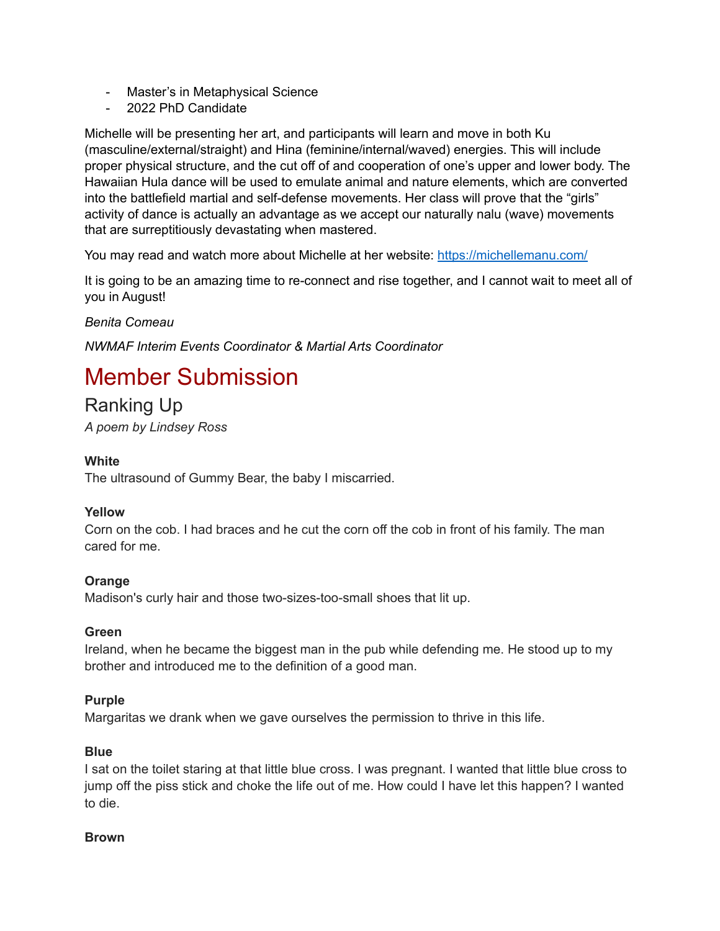- Master's in Metaphysical Science
- 2022 PhD Candidate

Michelle will be presenting her art, and participants will learn and move in both Ku (masculine/external/straight) and Hina (feminine/internal/waved) energies. This will include proper physical structure, and the cut off of and cooperation of one's upper and lower body. The Hawaiian Hula dance will be used to emulate animal and nature elements, which are converted into the battlefield martial and self-defense movements. Her class will prove that the "girls" activity of dance is actually an advantage as we accept our naturally nalu (wave) movements that are surreptitiously devastating when mastered.

You may read and watch more about Michelle at her website: <https://michellemanu.com/>

It is going to be an amazing time to re-connect and rise together, and I cannot wait to meet all of you in August!

*Benita Comeau*

*NWMAF Interim Events Coordinator & Martial Arts Coordinator*

# Member Submission

Ranking Up *A poem by Lindsey Ross*

#### **White**

The ultrasound of Gummy Bear, the baby I miscarried.

#### **Yellow**

Corn on the cob. I had braces and he cut the corn off the cob in front of his family. The man cared for me.

#### **Orange**

Madison's curly hair and those two-sizes-too-small shoes that lit up.

#### **Green**

Ireland, when he became the biggest man in the pub while defending me. He stood up to my brother and introduced me to the definition of a good man.

#### **Purple**

Margaritas we drank when we gave ourselves the permission to thrive in this life.

#### **Blue**

I sat on the toilet staring at that little blue cross. I was pregnant. I wanted that little blue cross to jump off the piss stick and choke the life out of me. How could I have let this happen? I wanted to die.

#### **Brown**